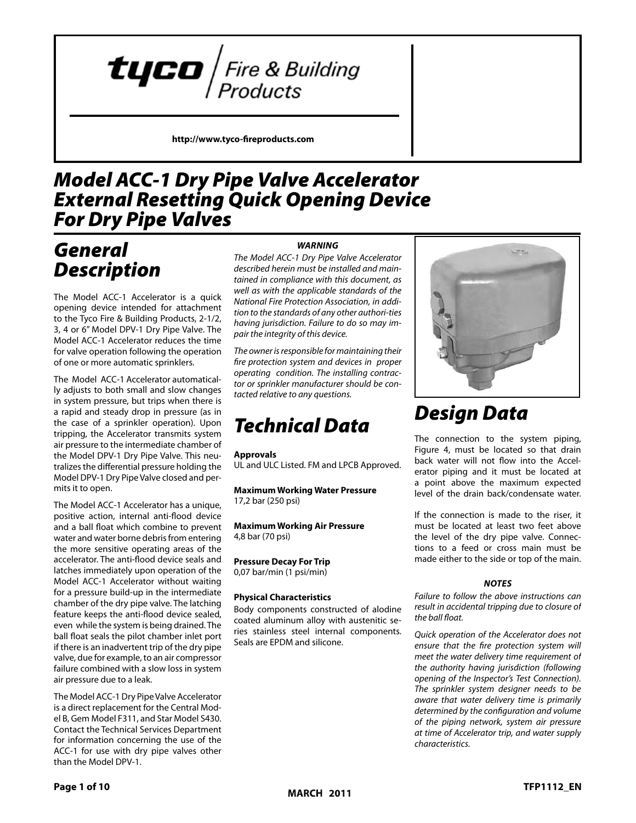

**http://www.tyco-fireproducts.com** 

#### *Model ACC‑1 Dry Pipe Valve Accelerator External Resetting Quick Opening Device For Dry Pipe Valves Model ACC-1 Dry Pipe Accelerator External Resetting Quick Opening Device For Dry Pipe Valves*

### *General General Description Description*

The Model ACC‑1 Accelerator is a quick The Model ACC-1 Accelerator is a opening device intended for attachment to the Tyco Fire & Building Products, 2-1/2, 3, 4 or 6" Model DPV-1 Dry Pipe Valve. The Model ACC-1 Accelerator reduces the time for valve operation following the operation of one or more automatic sprinklers. sprinklers. The Model ACC-1 Accelerator is a qu

The Model ACC-1 Accelerator automatical-I'll model ACC-1 Accelerator automatical-<br>Iy adjusts to both small and slow changes in system pressure, but trips when there is a rapid and steady drop in pressure (as in the case of a sprinkler operation). Upon tripping, the Accelerator transmits system air pressure to the intermediate chamber of the Model DPV‑1 Dry Pipe Valve. This neu‑ the Model DPV-1 Dry Pipe Valve. This tralizes the differential pressure holding the Model DPV-1 Dry Pipe Valve closed and permits it to open. Valve closed and permits it to open. if adjusts to both small and slow changes in the pressure, but the present of the pressure, but the present of

The Model ACC‑1 Accelerator has a unique, The Model ACC-1 Accelerator has a positive action, internal anti-flood device and a ball float which combine to prevent water and water borne debris from entering the more sensitive operating areas of the accelerator. The anti-flood device seals and latches immediately upon operation of the latches immediately upon operation of Model ACC-1 Accelerator without waiting meder need integrated intime to maning<br>for a pressure build-up in the intermediate chamber of the dry pipe valve. The latching intermediate chamber of the dry pipe channed of the dry pipe valve. The laterling<br>feature keeps the anti-flood device sealed, even while the system is being drained. The ball float seals the pilot chamber inlet port float seals the pilot chamber inlet port if there is an inadvertent trip of the dry pipe if there is an inadvertent trip of the dry valve, due for example, to an air compressor failure combined with a slow loss in system air pressure due to a leak. The Model ACC-T Accelerator has a uniq reature keeps the anti-flood device seal

.<br>The Model ACC-1 Dry Pipe Valve Accelerator Included Terry ripe valve Accelerator<br>is a direct replacement for the Central Model B, Gem Model F311, and Star Model S430. celerator is a direct replacement for end, Germ Model F311, and Star Model 3430.<br>Contact the Technical Services Department for information concerning the use of the ACC-1 for use with dry pipe valves other than the Model DPV-1. Contact the Technical Services Departm

### *WARNING*  **WARNING**

**The Model ACC-1 Dry Pipe Valve Accelerator** described herein must be installed and maintained in compliance with this document, as well as with the applicable standards of the **National Fire Protection Association, in addi**tion to the standards of any other authori-ties having jurisdiction. Failure to do so may impair the integrity of this device.

The owner is responsible for maintaining their *fire strive is responsible for mail teaming their*<br>fire protection system and devices in proper *Inceprocedion system and devices in proper* operating condition. The installing contrac*berating condition*: The installing contrac-<br>tor or sprinkler manufacturer should be con*tacted relative to any questions.* relative to any questions.

### *Technical Data*

#### **Approvals**

UL and ULC Listed. FM and LPCB Approved.

**Maximum Working Water Pressure**  17,2 bar (250 psi) *Technical*

**Maximum Working Air Pressure Maximum Wo**<br>4,8 bar (70 psi)

**Pressure Decay For Trip Approvals** 0,07 bar/min (1 psi/min) Pressure Decay For Trip

#### **Physical Characteristics Maximum Working Water Pressure**

Body components constructed of alodine **Body components constructed of alogments**<br> **Coated aluminum alloy with austenitic se**ries stainless steel internal components. Seals are EPDM and silicone. coated aluminu bealbare in Dimaina Since.



### *Design Data Design*

The connection to the system piping, The connection to the system piping,<br>Figure 4, must be located so that drain back water will not flow into the Accelback water will not now line the Accel-<br>erator piping and it must be located at a point above the maximum expected level of the drain back/condensate water. erator piping and it must be located at

If the connection is made to the riser, it must be located at least two feet above the level of the dry pipe valve. Connecthe level of the dry pipe valve. Connections to a feed or cross main must be made either to the side or top of the main. If the connection is made to the riser, it  $1001$  is to a lead of Cross main must be

#### **NOTES**

Failure to follow the above instructions can result in accidental tripping due to closure of *the ball float.*   $\sum_{i=1}^{\infty}$  follow the above instructions in section  $\sum_{i=1}^{\infty}$ 

Quick operation of the Accelerator does not ensure that the fire protection system will meet the water delivery time requirement of the authority having jurisdiction (following opening of the Inspector's Test Connection). The sprinkler system designer needs to be aware that water delivery time is primarily determined by the configuration and volume of the piping network, system air pressure at time of Accelerator trip, and water supply ard mine of *meetermined tipy and marier supply,*<br>characteristics. and volume of the piper of the piper of the piper of the piper of the piper of the piper of the piper of the p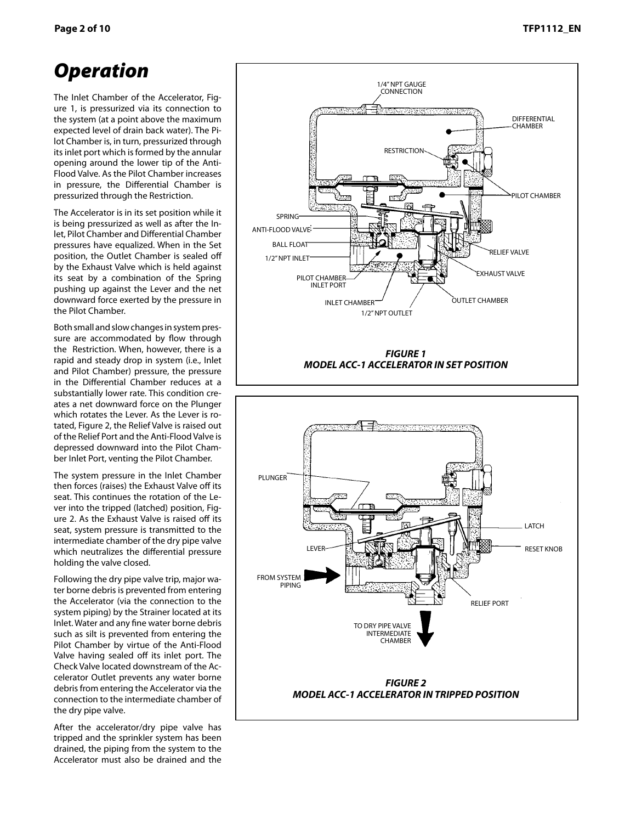#### **Page 2 of 10 TFP1112\_EN** Page 2 of 10 TFP1112 EN

## *Operation Operation*

The Inlet Chamber of the Accelerator, Fig‑ The Inlet Chamber of the Accelerator, Incommer enamber of the Accelerator, right are if is pressuitzed via its connection to<br>the system (at a point above the maximum expected level of drain back water). The Pilot Chamber is, in turn, pressurized through its inlet port which is formed by the annular opening around the lower tip of the Anti-Flood Valve. As the Pilot Chamber increases Valve. As the Pilot Chamber increases in pressure, the Differential Chamber is in pressure, the Differential Chamber pressurized through the Restriction. is pressurized through the Restriction.  $\mathfrak{m}$  system (at a point above the maximum

The Accelerator is in its set position while it The Accelerator is in its set position The Accelerator is in its set position while it<br>is being pressurized as well as after the Inlet, Pilot Chamber and Differential Chamber pressures have equalized. When in the Set position, the Outlet Chamber is sealed off by the Exhaust Valve which is held against its seat by a combination of the Spring pushing up against the Lever and the net pushing up against the Lever and the downward force exerted by the pressure in the Pilot Chamber. pressure in the Pilot Chamber. is being pressurized as well as after the in

Both small and slow changes in system pressure are accommodated by flow through the Restriction. When, however, there is a rapid and steady drop in system (i.e., Inlet and Pilot Chamber) pressure, the pressure in the Differential Chamber reduces at a substantially lower rate. This condition cre‑ substantially lower rate. This condition ates a net downward force on the Plunger creates a net downward force on the ates a net dominata force on the Franger<br>which rotates the Lever. As the Lever is rowhich fotates the Lever. As the Lever is fo-<br>tated, Figure 2, the Relief Valve is raised out tated, Figure 2, the Relief valve is raised out<br>of the Relief Port and the Anti-Flood Valve is depressed downward into the Pilot Chamber Inlet Port, venting the Pilot Chamber. Port, venting the Pilot Chamber. Both small and slow changes in system pres of the Relief Port and the Anti-Flood Valve is

The system pressure in the Inlet Chamber The system pressure in the Inlet then forces (raises) the Exhaust Valve off its seat. This continues the rotation of the Lesead this commace the rotation of the Lever into the tripped (latched) position, Figver line the tripped (latened) position, Figure 2. As the Exhaust Valve is raised off its are z. As the Exhaust valve is falsed on its<br>seat, system pressure is transmitted to the intermediate chamber of the dry pipe valve intermediate chamber of the dry pipe which neutralizes the differential pressure holding the valve closed. pressure holding the valve closed. seat, system pressure is transmitted to th

Following the dry pipe valve trip, major wa‑ Following the dry pipe valve trip, major ter borne debris is prevented from entering the Accelerator (via the connection to the are received the connection to the<br>system piping) by the Strainer located at its system piping, by the strainer located at its<br>Inlet. Water and any fine water borne debris miet, water and any line water borne debris<br>such as silt is prevented from entering the Pilot Chamber by virtue of the Anti-Flood Chamber by virtue of the Anti-Flood Valve having sealed off its inlet port. The Valve having sealed off its inlet port. Check Valve located downstream of the Accelerator Outlet prevents any water borne debris from entering the Accelerator via the connection to the intermediate chamber of the dry pipe valve. such as slit is prevented from entering th undu<sub>)</sub>

After the accelerator/dry pipe valve has After the accelerator/dry pipe valve tripped and the sprinkler system has been drained, the piping from the system to the Accelerator must also be drained and the



**MODEL ACC-1 ACCELERATOR IN TRIPPED POSITION** *MODEL ACC‑1 ACCELERATOR IN TRIPPED POSITION*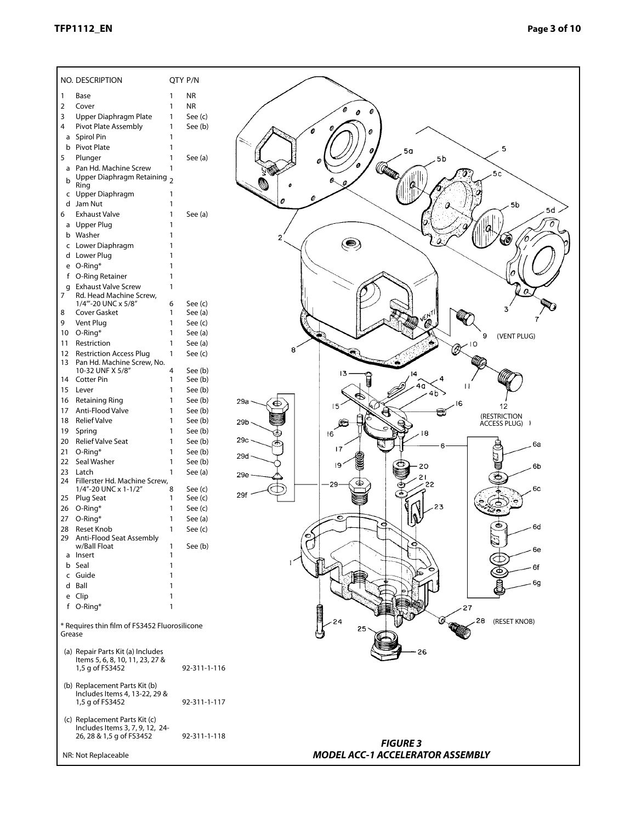#### **TFP1112\_EN** Page 3 of 10 TFP1112\_EN Page 3 of 10

|                     | QTY P/N<br>NO. DESCRIPTION                                           |                         |                                  |  |  |  |  |  |
|---------------------|----------------------------------------------------------------------|-------------------------|----------------------------------|--|--|--|--|--|
| 1                   | Base                                                                 | <b>NR</b><br>1          |                                  |  |  |  |  |  |
| $\overline{2}$      | Cover                                                                | <b>NR</b><br>1          |                                  |  |  |  |  |  |
| 3                   | Upper Diaphragm Plate                                                | See (c)<br>1            | 0                                |  |  |  |  |  |
| 4                   | Pivot Plate Assembly                                                 | $\mathbf{1}$<br>See (b) |                                  |  |  |  |  |  |
| a                   | Spirol Pin                                                           | 1                       |                                  |  |  |  |  |  |
| b                   | <b>Pivot Plate</b>                                                   | $\mathbf{1}$            | 5<br>5 <sub>a</sub>              |  |  |  |  |  |
| 5                   | Plunger                                                              | $\mathbf{1}$<br>See (a) | 5b                               |  |  |  |  |  |
| a                   | Pan Hd. Machine Screw                                                | $\mathbf{1}$            | Ø                                |  |  |  |  |  |
| b                   | Upper Diaphragm Retaining 2                                          |                         |                                  |  |  |  |  |  |
|                     | Ring                                                                 |                         |                                  |  |  |  |  |  |
|                     | c Upper Diaphragm                                                    | 1                       |                                  |  |  |  |  |  |
| d                   | Jam Nut                                                              | 1                       | 5b<br>$5d$ .                     |  |  |  |  |  |
| 6                   | <b>Exhaust Valve</b>                                                 | $\mathbf{1}$<br>See (a) |                                  |  |  |  |  |  |
|                     | a Upper Plug                                                         | 1                       |                                  |  |  |  |  |  |
| b                   | Washer                                                               |                         | 2<br>10,<br>۸                    |  |  |  |  |  |
|                     | c Lower Diaphragm                                                    |                         |                                  |  |  |  |  |  |
|                     | d Lower Plug                                                         |                         |                                  |  |  |  |  |  |
|                     | e O-Ring*                                                            |                         |                                  |  |  |  |  |  |
|                     | f O-Ring Retainer                                                    |                         |                                  |  |  |  |  |  |
| q<br>$\overline{7}$ | <b>Exhaust Valve Screw</b>                                           | 1                       | Q                                |  |  |  |  |  |
|                     | Rd. Head Machine Screw,<br>1/4"'-20 UNC x 5/8"                       | See (c)<br>6            |                                  |  |  |  |  |  |
| 8                   | Cover Gasket                                                         | See (a)<br>1            |                                  |  |  |  |  |  |
| 9                   | Vent Plug                                                            | 1<br>See (c)            | ENT                              |  |  |  |  |  |
| 10                  | O-Ring*                                                              | 1<br>See (a)            | 9                                |  |  |  |  |  |
| 11                  | Restriction                                                          | 1<br>See (a)            | (VENT PLUG)                      |  |  |  |  |  |
| 12                  | <b>Restriction Access Plug</b>                                       | 1<br>See (c)            | 'A)<br>8                         |  |  |  |  |  |
|                     | 13 Pan Hd. Machine Screw, No.                                        |                         |                                  |  |  |  |  |  |
|                     | 10-32 UNF X 5/8"                                                     | See (b)<br>4            | 13                               |  |  |  |  |  |
|                     | 14 Cotter Pin                                                        | See (b)<br>1            | $\mathsf{H}$                     |  |  |  |  |  |
| 15                  | Lever                                                                | See (b)<br>1            |                                  |  |  |  |  |  |
| 16                  | <b>Retaining Ring</b>                                                | See (b)<br>1            | 29a<br>16<br>15<br>12            |  |  |  |  |  |
| 17                  | Anti-Flood Valve                                                     | See (b)<br>1            | ਥ<br>(RESTRICTION                |  |  |  |  |  |
| 18                  | <b>Relief Valve</b>                                                  | See (b)<br>1            | 29b<br>œ<br><b>ACCESS PLUG)</b>  |  |  |  |  |  |
| 19                  | Spring                                                               | See (b)<br>1            | 16<br>18                         |  |  |  |  |  |
| 20                  | Relief Valve Seat                                                    | See (b)<br>1            | 29c<br>6a<br>17                  |  |  |  |  |  |
| 21                  | O-Ring*                                                              | See (b)<br>1            | 29d                              |  |  |  |  |  |
| 22                  | Seal Washer                                                          | See (b)<br>1            | 19<br>6b<br>20                   |  |  |  |  |  |
| 23                  | Latch<br>24 Fillerster Hd. Machine Screw,                            | $\mathbf{1}$<br>See (a) | 29e                              |  |  |  |  |  |
|                     | 1/4"-20 UNC x 1-1/2"                                                 | See (c)<br>8            | 22<br>29<br>6с                   |  |  |  |  |  |
| 25                  | Plug Seat                                                            | See (c)<br>1            | 29f                              |  |  |  |  |  |
| 26                  | O-Ring*                                                              | See (c)<br>1            | 23                               |  |  |  |  |  |
|                     | 27 O-Ring*                                                           | 1<br>See (a)            | c                                |  |  |  |  |  |
|                     | 28 Reset Knob                                                        | See (c)                 | අ<br>⊜<br>– 6d                   |  |  |  |  |  |
|                     | 29 Anti-Flood Seat Assembly                                          |                         | c                                |  |  |  |  |  |
|                     | w/Ball Float<br>a Insert                                             | See (b)<br>1<br>1       | 6e                               |  |  |  |  |  |
|                     | b Seal                                                               | 1                       |                                  |  |  |  |  |  |
|                     | c Guide                                                              | 1                       | 6f                               |  |  |  |  |  |
|                     | d Ball                                                               |                         | 6g                               |  |  |  |  |  |
|                     | e Clip                                                               |                         |                                  |  |  |  |  |  |
|                     | f O-Ring*                                                            | 1                       | $-27$                            |  |  |  |  |  |
|                     |                                                                      |                         |                                  |  |  |  |  |  |
|                     | * Requires thin film of FS3452 Fluorosilicone                        |                         | 28<br>(RESET KNOB)<br>25         |  |  |  |  |  |
| Grease              |                                                                      |                         |                                  |  |  |  |  |  |
|                     |                                                                      |                         |                                  |  |  |  |  |  |
|                     | (a) Repair Parts Kit (a) Includes<br>Items 5, 6, 8, 10, 11, 23, 27 & |                         | 26                               |  |  |  |  |  |
|                     | 1,5 g of FS3452                                                      | 92-311-1-116            |                                  |  |  |  |  |  |
|                     |                                                                      |                         |                                  |  |  |  |  |  |
|                     | (b) Replacement Parts Kit (b)                                        |                         |                                  |  |  |  |  |  |
|                     | Includes Items 4, 13-22, 29 &                                        |                         |                                  |  |  |  |  |  |
|                     | 1,5 g of FS3452                                                      | 92-311-1-117            |                                  |  |  |  |  |  |
|                     | (c) Replacement Parts Kit (c)                                        |                         |                                  |  |  |  |  |  |
|                     | Includes Items 3, 7, 9, 12, 24-                                      |                         |                                  |  |  |  |  |  |
|                     | 26, 28 & 1,5 g of FS3452                                             | 92-311-1-118            | <b>FIGURE 3</b>                  |  |  |  |  |  |
|                     |                                                                      |                         |                                  |  |  |  |  |  |
|                     | NR: Not Replaceable                                                  |                         | MODEL ACC-1 ACCELERATOR ASSEMBLY |  |  |  |  |  |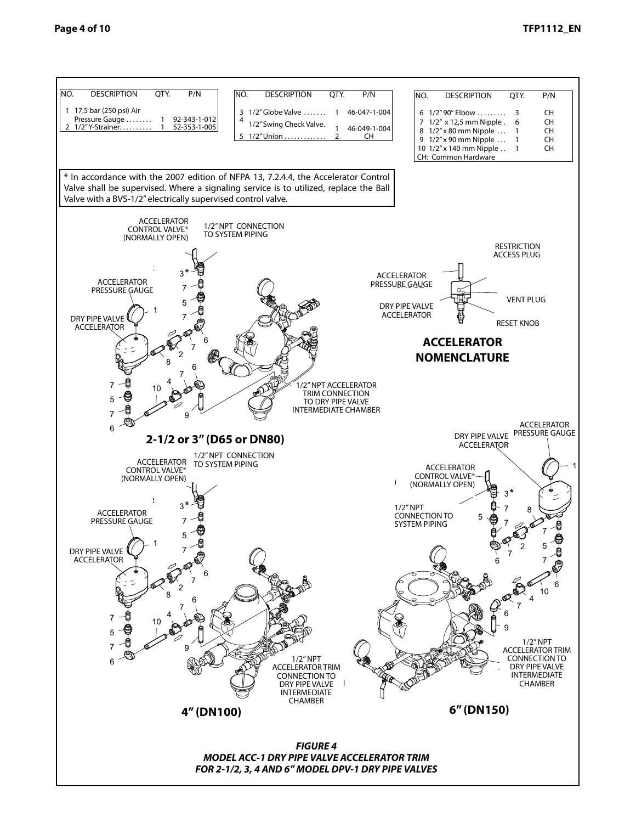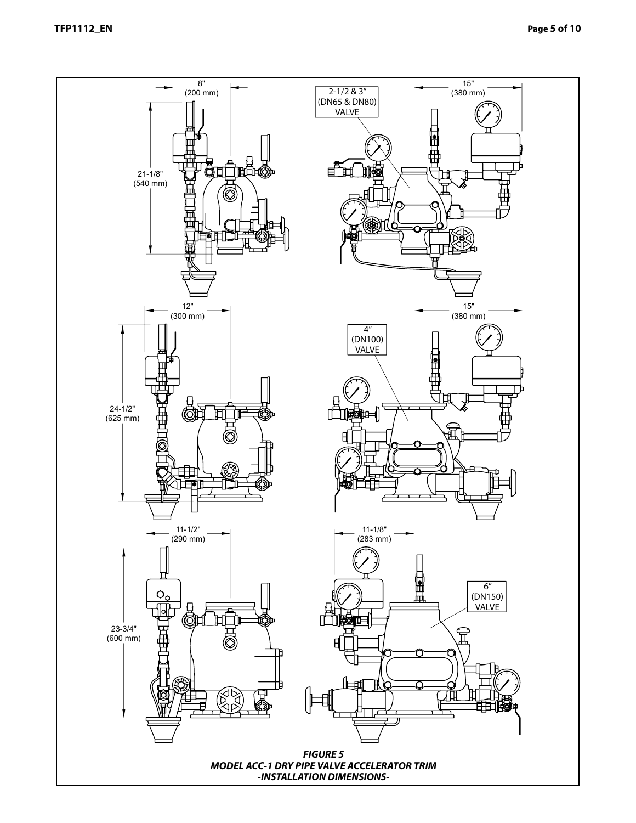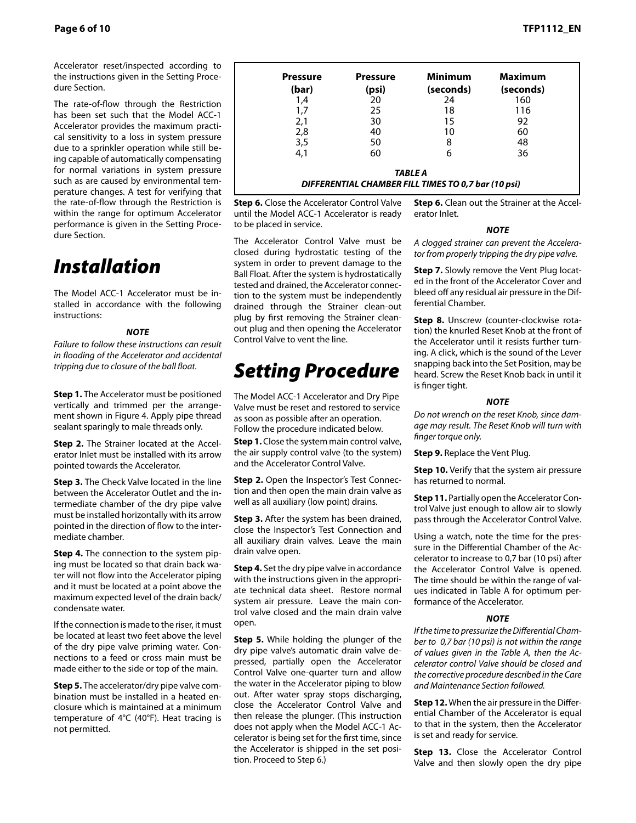Accelerator reset/inspected according to the instructions given in the Setting Proce‑ dure Section.

The rate-of-flow through the Restriction has been set such that the Model ACC-1 Accelerator provides the maximum practical sensitivity to a loss in system pressure due to a sprinkler operation while still being capable of automatically compensating for normal variations in system pressure such as are caused by environmental temperature changes. A test for verifying that the rate-of-flow through the Restriction is within the range for optimum Accelerator performance is given in the Setting Proce‑ dure Section.

### *Installation*

The Model ACC-1 Accelerator must be installed in accordance with the following instructions:

#### *NOTE*

*Failure to follow these instructions can result in flooding of the Accelerator and accidental tripping due to closure of the ball float.* 

**Step 1.** The Accelerator must be positioned vertically and trimmed per the arrangement shown in Figure 4. Apply pipe thread sealant sparingly to male threads only.

**Step 2.** The Strainer located at the Accelerator Inlet must be installed with its arrow pointed towards the Accelerator.

**Step 3.** The Check Valve located in the line between the Accelerator Outlet and the intermediate chamber of the dry pipe valve must be installed horizontally with its arrow pointed in the direction of flow to the intermediate chamber.

**Step 4.** The connection to the system piping must be located so that drain back water will not flow into the Accelerator piping and it must be located at a point above the maximum expected level of the drain back/ condensate water.

If the connection is made to the riser, it must be located at least two feet above the level of the dry pipe valve priming water. Connections to a feed or cross main must be made either to the side or top of the main.

**Step 5.** The accelerator/dry pipe valve combination must be installed in a heated enclosure which is maintained at a minimum temperature of 4°C (40°F). Heat tracing is not permitted.

| <b>Pressure</b><br>(bar) | <b>Pressure</b><br>(psi) | <b>Minimum</b><br>(seconds)                                           | <b>Maximum</b><br>(seconds) |
|--------------------------|--------------------------|-----------------------------------------------------------------------|-----------------------------|
| 1,4                      | 20                       | 24                                                                    | 160                         |
| 1,7                      | 25                       | 18                                                                    | 116                         |
| 2,1                      | 30                       | 15                                                                    | 92                          |
| 2,8                      | 40                       | 10                                                                    | 60                          |
| 3,5                      | 50                       | 8                                                                     | 48                          |
| 4,1                      | 60                       | 6                                                                     | 36                          |
|                          |                          | <b>TABLE A</b><br>DIFFERENTIAL CHAMBER FILL TIMES TO 0,7 bar (10 psi) |                             |

**Step 6.** Close the Accelerator Control Valve until the Model ACC‑1 Accelerator is ready to be placed in service.

The Accelerator Control Valve must be closed during hydrostatic testing of the system in order to prevent damage to the Ball Float. After the system is hydrostatically tested and drained, the Accelerator connection to the system must be independently drained through the Strainer clean-out plug by first removing the Strainer cleanout plug and then opening the Accelerator Control Valve to vent the line.

## *Setting Procedure*

The Model ACC‑1 Accelerator and Dry Pipe Valve must be reset and restored to service as soon as possible after an operation. Follow the procedure indicated below.

**Step 1.** Close the system main control valve, the air supply control valve (to the system) and the Accelerator Control Valve.

**Step 2.** Open the Inspector's Test Connection and then open the main drain valve as well as all auxiliary (low point) drains.

**Step 3.** After the system has been drained, close the Inspector's Test Connection and all auxiliary drain valves. Leave the main drain valve open.

**Step 4.** Set the dry pipe valve in accordance with the instructions given in the appropriate technical data sheet. Restore normal system air pressure. Leave the main control valve closed and the main drain valve open.

**Step 5.** While holding the plunger of the dry pipe valve's automatic drain valve depressed, partially open the Accelerator Control Valve one-quarter turn and allow the water in the Accelerator piping to blow out. After water spray stops discharging, close the Accelerator Control Valve and then release the plunger. (This instruction does not apply when the Model ACC-1 Accelerator is being set for the first time, since the Accelerator is shipped in the set position. Proceed to Step 6.)

**Step 6.** Clean out the Strainer at the Accelerator Inlet.

#### *NOTE*

*A clogged strainer can prevent the Accelera‑ tor from properly tripping the dry pipe valve.*

**Step 7.** Slowly remove the Vent Plug located in the front of the Accelerator Cover and bleed off any residual air pressure in the Differential Chamber.

**Step 8.** Unscrew (counter-clockwise rotation) the knurled Reset Knob at the front of the Accelerator until it resists further turning. A click, which is the sound of the Lever snapping back into the Set Position, may be heard. Screw the Reset Knob back in until it is finger tight.

#### *NOTE*

*Do not wrench on the reset Knob, since dam‑ age may result. The Reset Knob will turn with finger torque only.*

**Step 9.** Replace the Vent Plug.

**Step 10.** Verify that the system air pressure has returned to normal.

**Step 11. Partially open the Accelerator Con**trol Valve just enough to allow air to slowly pass through the Accelerator Control Valve.

Using a watch, note the time for the pressure in the Differential Chamber of the Accelerator to increase to 0,7 bar (10 psi) after the Accelerator Control Valve is opened. The time should be within the range of values indicated in Table A for optimum performance of the Accelerator.

#### *NOTE*

*If the time to pressurize the Differential Cham‑ ber to 0,7 bar (10 psi) is not within the range of values given in the Table A, then the Ac‑ celerator control Valve should be closed and the corrective procedure described in the Care and Maintenance Section followed.*

**Step 12.** When the air pressure in the Differential Chamber of the Accelerator is equal to that in the system, then the Accelerator is set and ready for service.

**Step 13.** Close the Accelerator Control Valve and then slowly open the dry pipe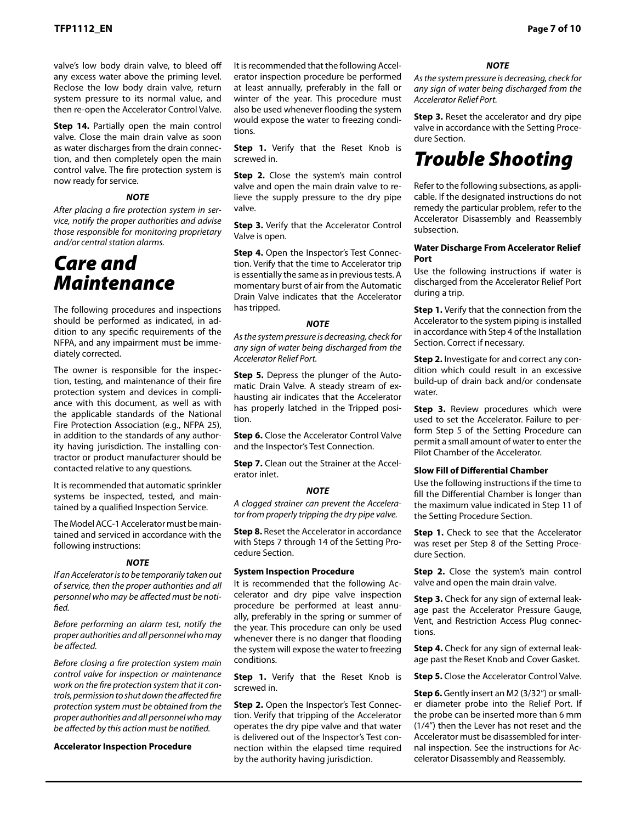valve's low body drain valve, to bleed off any excess water above the priming level. Reclose the low body drain valve, return system pressure to its normal value, and then re-open the Accelerator Control Valve.

**Step 14.** Partially open the main control valve. Close the main drain valve as soon as water discharges from the drain connection, and then completely open the main control valve. The fire protection system is now ready for service.

#### *NOTE*

*After placing a fire protection system in ser‑ vice, notify the proper authorities and advise those responsible for monitoring proprietary and/or central station alarms.*

### *Care and Maintenance*

The following procedures and inspections should be performed as indicated, in addition to any specific requirements of the NFPA, and any impairment must be imme‑ diately corrected.

The owner is responsible for the inspection, testing, and maintenance of their fire protection system and devices in compliance with this document, as well as with the applicable standards of the National Fire Protection Association (e.g., NFPA 25), in addition to the standards of any authority having jurisdiction. The installing contractor or product manufacturer should be contacted relative to any questions.

It is recommended that automatic sprinkler systems be inspected, tested, and maintained by a qualified Inspection Service.

The Model ACC-1 Accelerator must be maintained and serviced in accordance with the following instructions:

#### *NOTE*

*If an Accelerator is to be temporarily taken out of service, then the proper authorities and all personnel who may be affected must be noti‑ fied.* 

*Before performing an alarm test, notify the proper authorities and all personnel who may be affected.* 

*Before closing a fire protection system main control valve for inspection or maintenance work on the fire protection system that it con‑ trols, permission to shut down the affected fire protection system must be obtained from the proper authorities and all personnel who may be affected by this action must be notified.* 

#### **Accelerator Inspection Procedure**

It is recommended that the following Accelerator inspection procedure be performed at least annually, preferably in the fall or winter of the year. This procedure must also be used whenever flooding the system would expose the water to freezing conditions.

**Step 1.** Verify that the Reset Knob is screwed in.

**Step 2.** Close the system's main control valve and open the main drain valve to relieve the supply pressure to the dry pipe valve.

**Step 3.** Verify that the Accelerator Control Valve is open.

**Step 4.** Open the Inspector's Test Connection. Verify that the time to Accelerator trip is essentially the same as in previous tests. A momentary burst of air from the Automatic Drain Valve indicates that the Accelerator has tripped.

#### *NOTE*

*As the system pressure is decreasing, check for any sign of water being discharged from the Accelerator Relief Port.* 

**Step 5.** Depress the plunger of the Automatic Drain Valve. A steady stream of exhausting air indicates that the Accelerator has properly latched in the Tripped position.

**Step 6.** Close the Accelerator Control Valve and the Inspector's Test Connection.

**Step 7.** Clean out the Strainer at the Accelerator inlet.

#### *NOTE*

*A clogged strainer can prevent the Accelera‑ tor from properly tripping the dry pipe valve.* 

**Step 8.** Reset the Accelerator in accordance with Steps 7 through 14 of the Setting Procedure Section.

#### **System Inspection Procedure**

It is recommended that the following Accelerator and dry pipe valve inspection procedure be performed at least annually, preferably in the spring or summer of the year. This procedure can only be used whenever there is no danger that flooding the system will expose the water to freezing conditions.

**Step 1.** Verify that the Reset Knob is screwed in.

**Step 2.** Open the Inspector's Test Connection. Verify that tripping of the Accelerator operates the dry pipe valve and that water is delivered out of the Inspector's Test connection within the elapsed time required by the authority having jurisdiction.

#### *NOTE*

*As the system pressure is decreasing, check for any sign of water being discharged from the Accelerator Relief Port.* 

**Step 3.** Reset the accelerator and dry pipe valve in accordance with the Setting Procedure Section.

### *Trouble Shooting*

Refer to the following subsections, as applicable. If the designated instructions do not remedy the particular problem, refer to the Accelerator Disassembly and Reassembly subsection.

#### **Water Discharge From Accelerator Relief Port**

Use the following instructions if water is discharged from the Accelerator Relief Port during a trip.

**Step 1.** Verify that the connection from the Accelerator to the system piping is installed in accordance with Step 4 of the Installation Section. Correct if necessary.

**Step 2.** Investigate for and correct any condition which could result in an excessive build-up of drain back and/or condensate water.

**Step 3.** Review procedures which were used to set the Accelerator. Failure to perform Step 5 of the Setting Procedure can permit a small amount of water to enter the Pilot Chamber of the Accelerator.

#### **Slow Fill of Differential Chamber**

Use the following instructions if the time to fill the Differential Chamber is longer than the maximum value indicated in Step 11 of the Setting Procedure Section.

**Step 1.** Check to see that the Accelerator was reset per Step 8 of the Setting Procedure Section.

**Step 2.** Close the system's main control valve and open the main drain valve.

**Step 3.** Check for any sign of external leakage past the Accelerator Pressure Gauge, Vent, and Restriction Access Plug connections.

**Step 4.** Check for any sign of external leakage past the Reset Knob and Cover Gasket.

**Step 5.** Close the Accelerator Control Valve.

**Step 6.** Gently insert an M2 (3/32") or smaller diameter probe into the Relief Port. If the probe can be inserted more than 6 mm (1/4") then the Lever has not reset and the Accelerator must be disassembled for internal inspection. See the instructions for Accelerator Disassembly and Reassembly.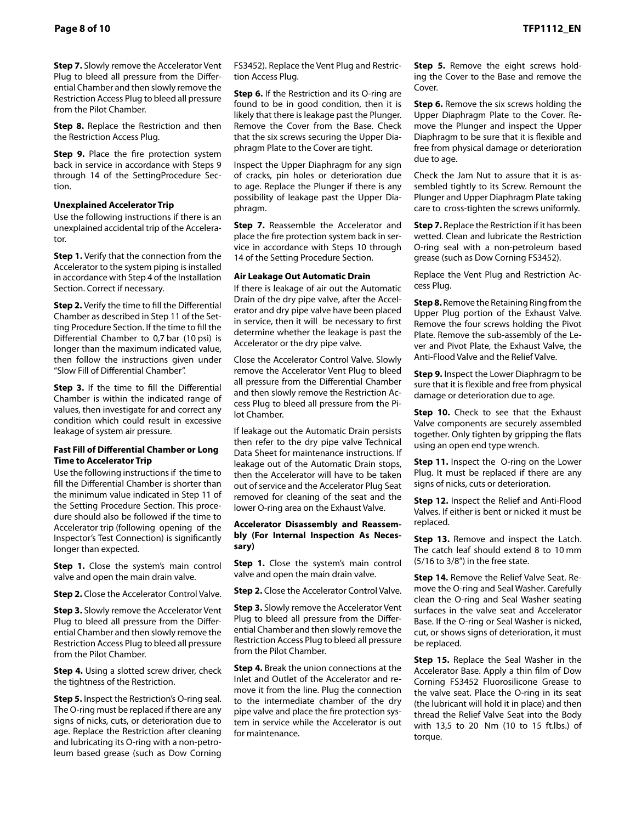**Step 7.** Slowly remove the Accelerator Vent Plug to bleed all pressure from the Differential Chamber and then slowly remove the Restriction Access Plug to bleed all pressure from the Pilot Chamber.

**Step 8.** Replace the Restriction and then the Restriction Access Plug.

**Step 9.** Place the fire protection system back in service in accordance with Steps 9 through 14 of the SettingProcedure Sec‑ tion.

#### **Unexplained Accelerator Trip**

Use the following instructions if there is an unexplained accidental trip of the Accelerator.

**Step 1.** Verify that the connection from the Accelerator to the system piping is installed in accordance with Step 4 of the Installation Section. Correct if necessary.

**Step 2.** Verify the time to fill the Differential Chamber as described in Step 11 of the Set‑ ting Procedure Section. If the time to fill the Differential Chamber to 0,7 bar (10 psi) is longer than the maximum indicated value, then follow the instructions given under "Slow Fill of Differential Chamber".

**Step 3.** If the time to fill the Differential Chamber is within the indicated range of values, then investigate for and correct any condition which could result in excessive leakage of system air pressure.

#### **Fast Fill of Differential Chamber or Long Time to Accelerator Trip**

Use the following instructions if the time to fill the Differential Chamber is shorter than the minimum value indicated in Step 11 of the Setting Procedure Section. This proce‑ dure should also be followed if the time to Accelerator trip (following opening of the Inspector's Test Connection) is significantly longer than expected.

**Step 1.** Close the system's main control valve and open the main drain valve.

**Step 2.** Close the Accelerator Control Valve.

**Step 3.** Slowly remove the Accelerator Vent Plug to bleed all pressure from the Differential Chamber and then slowly remove the Restriction Access Plug to bleed all pressure from the Pilot Chamber.

**Step 4.** Using a slotted screw driver, check the tightness of the Restriction.

**Step 5.** Inspect the Restriction's O-ring seal. The O‑ring must be replaced if there are any signs of nicks, cuts, or deterioration due to age. Replace the Restriction after cleaning and lubricating its O-ring with a non-petroleum based grease (such as Dow Corning

FS3452). Replace the Vent Plug and Restriction Access Plug.

**Step 6.** If the Restriction and its O-ring are found to be in good condition, then it is likely that there is leakage past the Plunger. Remove the Cover from the Base. Check that the six screws securing the Upper Diaphragm Plate to the Cover are tight.

Inspect the Upper Diaphragm for any sign of cracks, pin holes or deterioration due to age. Replace the Plunger if there is any possibility of leakage past the Upper Dia‑ phragm.

**Step 7.** Reassemble the Accelerator and place the fire protection system back in service in accordance with Steps 10 through 14 of the Setting Procedure Section.

#### **Air Leakage Out Automatic Drain**

If there is leakage of air out the Automatic Drain of the dry pipe valve, after the Accelerator and dry pipe valve have been placed in service, then it will be necessary to first determine whether the leakage is past the Accelerator or the dry pipe valve.

Close the Accelerator Control Valve. Slowly remove the Accelerator Vent Plug to bleed all pressure from the Differential Chamber and then slowly remove the Restriction Access Plug to bleed all pressure from the Pi‑ lot Chamber.

If leakage out the Automatic Drain persists then refer to the dry pipe valve Technical Data Sheet for maintenance instructions. If leakage out of the Automatic Drain stops, then the Accelerator will have to be taken out of service and the Accelerator Plug Seat removed for cleaning of the seat and the lower O-ring area on the Exhaust Valve.

#### **Accelerator Disassembly and Reassembly (For Internal Inspection As Necessary)**

**Step 1.** Close the system's main control valve and open the main drain valve.

**Step 2.** Close the Accelerator Control Valve.

**Step 3.** Slowly remove the Accelerator Vent Plug to bleed all pressure from the Differential Chamber and then slowly remove the Restriction Access Plug to bleed all pressure from the Pilot Chamber.

**Step 4.** Break the union connections at the Inlet and Outlet of the Accelerator and re‑ move it from the line. Plug the connection to the intermediate chamber of the dry pipe valve and place the fire protection system in service while the Accelerator is out for maintenance.

**Step 5.** Remove the eight screws holding the Cover to the Base and remove the Cover

**Step 6.** Remove the six screws holding the Upper Diaphragm Plate to the Cover. Re‑ move the Plunger and inspect the Upper Diaphragm to be sure that it is flexible and free from physical damage or deterioration due to age.

Check the Jam Nut to assure that it is as‑ sembled tightly to its Screw. Remount the Plunger and Upper Diaphragm Plate taking care to cross-tighten the screws uniformly.

**Step 7.** Replace the Restriction if it has been wetted. Clean and lubricate the Restriction O-ring seal with a non-petroleum based grease (such as Dow Corning FS3452).

Replace the Vent Plug and Restriction Ac‑ cess Plug.

**Step 8.** Remove the Retaining Ring from the Upper Plug portion of the Exhaust Valve. Remove the four screws holding the Pivot Plate. Remove the sub-assembly of the Le‑ ver and Pivot Plate, the Exhaust Valve, the Anti-Flood Valve and the Relief Valve.

**Step 9.** Inspect the Lower Diaphragm to be sure that it is flexible and free from physical damage or deterioration due to age.

**Step 10.** Check to see that the Exhaust Valve components are securely assembled together. Only tighten by gripping the flats using an open end type wrench.

**Step 11.** Inspect the O-ring on the Lower Plug. It must be replaced if there are any signs of nicks, cuts or deterioration.

**Step 12.** Inspect the Relief and Anti-Flood Valves. If either is bent or nicked it must be replaced.

**Step 13.** Remove and inspect the Latch. The catch leaf should extend 8 to 10 mm (5/16 to 3/8") in the free state.

**Step 14.** Remove the Relief Valve Seat. Remove the O-ring and Seal Washer. Carefully clean the O‑ring and Seal Washer seating surfaces in the valve seat and Accelerator Base. If the O-ring or Seal Washer is nicked, cut, or shows signs of deterioration, it must be replaced.

**Step 15.** Replace the Seal Washer in the Accelerator Base. Apply a thin film of Dow Corning FS3452 Fluorosilicone Grease to the valve seat. Place the O-ring in its seat (the lubricant will hold it in place) and then thread the Relief Valve Seat into the Body with 13,5 to 20 Nm (10 to 15 ft.lbs.) of torque.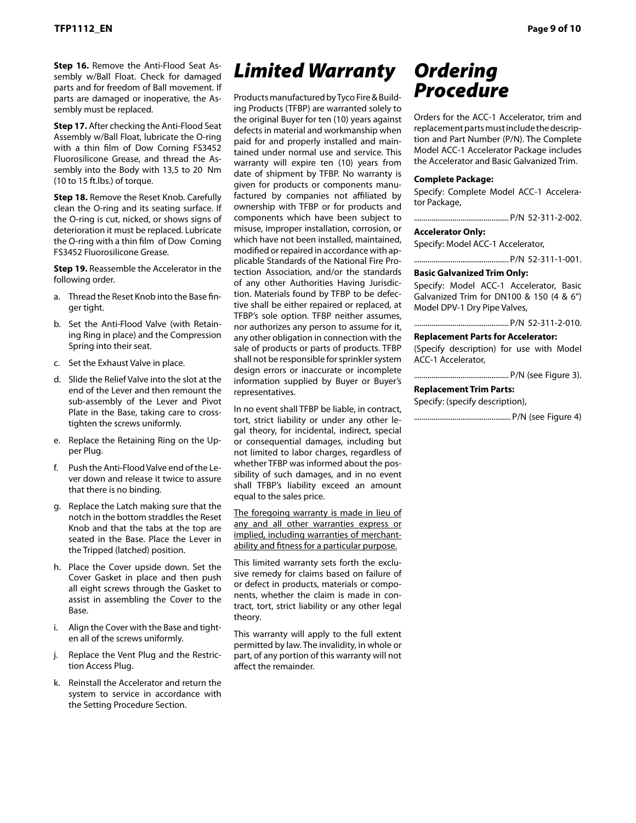**Step 16.** Remove the Anti-Flood Seat Assembly w/Ball Float. Check for damaged parts and for freedom of Ball movement. If parts are damaged or inoperative, the Assembly must be replaced.

**Step 17.** After checking the Anti-Flood Seat Assembly w/Ball Float, lubricate the O-ring with a thin film of Dow Corning FS3452 Fluorosilicone Grease, and thread the Assembly into the Body with 13,5 to 20 Nm (10 to 15 ft.lbs.) of torque.

**Step 18.** Remove the Reset Knob. Carefully clean the O-ring and its seating surface. If the O-ring is cut, nicked, or shows signs of deterioration it must be replaced. Lubricate the O-ring with a thin film of Dow Corning FS3452 Fluorosilicone Grease.

**Step 19.** Reassemble the Accelerator in the following order.

- a. Thread the Reset Knob into the Base finger tight.
- b. Set the Anti-Flood Valve (with Retaining Ring in place) and the Compression Spring into their seat.
- c. Set the Exhaust Valve in place.
- d. Slide the Relief Valve into the slot at the end of the Lever and then remount the sub-assembly of the Lever and Pivot Plate in the Base, taking care to crosstighten the screws uniformly.
- e. Replace the Retaining Ring on the Upper Plug.
- f. Push the Anti-Flood Valve end of the Le‑ ver down and release it twice to assure that there is no binding.
- g. Replace the Latch making sure that the notch in the bottom straddles the Reset Knob and that the tabs at the top are seated in the Base. Place the Lever in the Tripped (latched) position.
- h. Place the Cover upside down. Set the Cover Gasket in place and then push all eight screws through the Gasket to assist in assembling the Cover to the Base.
- i. Align the Cover with the Base and tighten all of the screws uniformly.
- j. Replace the Vent Plug and the Restriction Access Plug.
- k. Reinstall the Accelerator and return the system to service in accordance with the Setting Procedure Section.

# *Limited Warranty*

Products manufactured by Tyco Fire & Build‑ ing Products (TFBP) are warranted solely to the original Buyer for ten (10) years against defects in material and workmanship when paid for and properly installed and maintained under normal use and service. This warranty will expire ten (10) years from date of shipment by TFBP. No warranty is given for products or components manufactured by companies not affiliated by ownership with TFBP or for products and components which have been subject to misuse, improper installation, corrosion, or which have not been installed, maintained, modified or repaired in accordance with applicable Standards of the National Fire Pro‑ tection Association, and/or the standards of any other Authorities Having Jurisdiction. Materials found by TFBP to be defective shall be either repaired or replaced, at TFBP's sole option. TFBP neither assumes, nor authorizes any person to assume for it, any other obligation in connection with the sale of products or parts of products. TFBP shall not be responsible for sprinkler system design errors or inaccurate or incomplete information supplied by Buyer or Buyer's representatives.

In no event shall TFBP be liable, in contract, tort, strict liability or under any other legal theory, for incidental, indirect, special or consequential damages, including but not limited to labor charges, regardless of whether TFBP was informed about the possibility of such damages, and in no event shall TFBP's liability exceed an amount equal to the sales price.

The foregoing warranty is made in lieu of any and all other warranties express or implied, including warranties of merchantability and fitness for a particular purpose.

This limited warranty sets forth the exclusive remedy for claims based on failure of or defect in products, materials or components, whether the claim is made in contract, tort, strict liability or any other legal theory.

This warranty will apply to the full extent permitted by law. The invalidity, in whole or part, of any portion of this warranty will not affect the remainder.

### *Ordering Procedure*

Orders for the ACC‑1 Accelerator, trim and replacement parts must include the description and Part Number (P/N). The Complete Model ACC‑1 Accelerator Package includes the Accelerator and Basic Galvanized Trim.

#### **Complete Package:**

Specify: Complete Model ACC-1 Accelerator Package,

................................................. P/N 52-311-2-002.

#### **Accelerator Only:**

Specify: Model ACC‑1 Accelerator,

................................................. P/N 52-311-1-001.

#### **Basic Galvanized Trim Only:**

Specify: Model ACC-1 Accelerator, Basic Galvanized Trim for DN100 & 150 (4 & 6") Model DPV‑1 Dry Pipe Valves,

................................................. P/N 52-311-2-010.

#### **Replacement Parts for Accelerator:**

(Specify description) for use with Model ACC-1 Accelerator,

................................................. P/N (see Figure 3).

#### **Replacement Trim Parts:**

Specify: (specify description),

.................................................. P/N (see Figure 4)